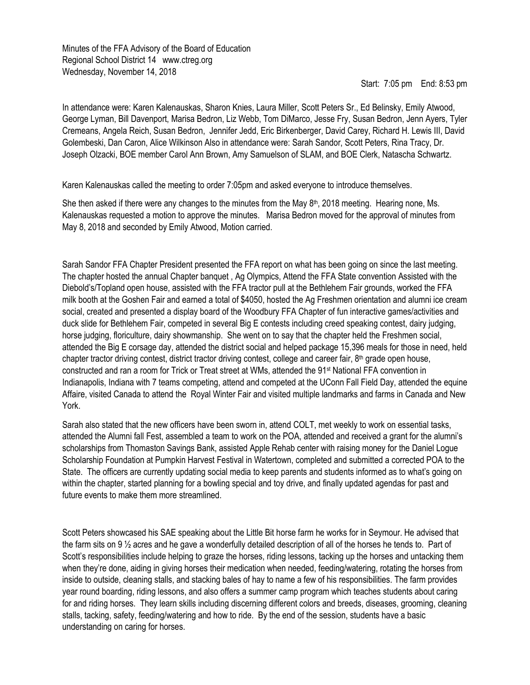Minutes of the FFA Advisory of the Board of Education Regional School District 14 www.ctreg.org Wednesday, November 14, 2018

Start: 7:05 pm End: 8:53 pm

In attendance were: Karen Kalenauskas, Sharon Knies, Laura Miller, Scott Peters Sr., Ed Belinsky, Emily Atwood, George Lyman, Bill Davenport, Marisa Bedron, Liz Webb, Tom DiMarco, Jesse Fry, Susan Bedron, Jenn Ayers, Tyler Cremeans, Angela Reich, Susan Bedron, Jennifer Jedd, Eric Birkenberger, David Carey, Richard H. Lewis III, David Golembeski, Dan Caron, Alice Wilkinson Also in attendance were: Sarah Sandor, Scott Peters, Rina Tracy, Dr. Joseph Olzacki, BOE member Carol Ann Brown, Amy Samuelson of SLAM, and BOE Clerk, Natascha Schwartz.

Karen Kalenauskas called the meeting to order 7:05pm and asked everyone to introduce themselves.

She then asked if there were any changes to the minutes from the May 8<sup>th</sup>, 2018 meeting. Hearing none, Ms. Kalenauskas requested a motion to approve the minutes. Marisa Bedron moved for the approval of minutes from May 8, 2018 and seconded by Emily Atwood, Motion carried.

Sarah Sandor FFA Chapter President presented the FFA report on what has been going on since the last meeting. The chapter hosted the annual Chapter banquet , Ag Olympics, Attend the FFA State convention Assisted with the Diebold's/Topland open house, assisted with the FFA tractor pull at the Bethlehem Fair grounds, worked the FFA milk booth at the Goshen Fair and earned a total of \$4050, hosted the Ag Freshmen orientation and alumni ice cream social, created and presented a display board of the Woodbury FFA Chapter of fun interactive games/activities and duck slide for Bethlehem Fair, competed in several Big E contests including creed speaking contest, dairy judging, horse judging, floriculture, dairy showmanship. She went on to say that the chapter held the Freshmen social, attended the Big E corsage day, attended the district social and helped package 15,396 meals for those in need, held chapter tractor driving contest, district tractor driving contest, college and career fair, 8th grade open house, constructed and ran a room for Trick or Treat street at WMs, attended the 91st National FFA convention in Indianapolis, Indiana with 7 teams competing, attend and competed at the UConn Fall Field Day, attended the equine Affaire, visited Canada to attend the Royal Winter Fair and visited multiple landmarks and farms in Canada and New York.

Sarah also stated that the new officers have been sworn in, attend COLT, met weekly to work on essential tasks, attended the Alumni fall Fest, assembled a team to work on the POA, attended and received a grant for the alumni's scholarships from Thomaston Savings Bank, assisted Apple Rehab center with raising money for the Daniel Logue Scholarship Foundation at Pumpkin Harvest Festival in Watertown, completed and submitted a corrected POA to the State. The officers are currently updating social media to keep parents and students informed as to what's going on within the chapter, started planning for a bowling special and toy drive, and finally updated agendas for past and future events to make them more streamlined.

Scott Peters showcased his SAE speaking about the Little Bit horse farm he works for in Seymour. He advised that the farm sits on 9 ½ acres and he gave a wonderfully detailed description of all of the horses he tends to. Part of Scott's responsibilities include helping to graze the horses, riding lessons, tacking up the horses and untacking them when they're done, aiding in giving horses their medication when needed, feeding/watering, rotating the horses from inside to outside, cleaning stalls, and stacking bales of hay to name a few of his responsibilities. The farm provides year round boarding, riding lessons, and also offers a summer camp program which teaches students about caring for and riding horses. They learn skills including discerning different colors and breeds, diseases, grooming, cleaning stalls, tacking, safety, feeding/watering and how to ride. By the end of the session, students have a basic understanding on caring for horses.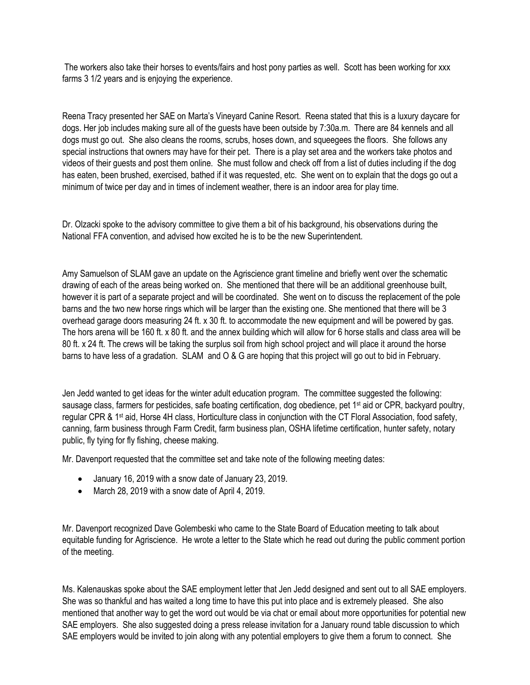The workers also take their horses to events/fairs and host pony parties as well. Scott has been working for xxx farms 3 1/2 years and is enjoying the experience.

Reena Tracy presented her SAE on Marta's Vineyard Canine Resort. Reena stated that this is a luxury daycare for dogs. Her job includes making sure all of the guests have been outside by 7:30a.m. There are 84 kennels and all dogs must go out. She also cleans the rooms, scrubs, hoses down, and squeegees the floors. She follows any special instructions that owners may have for their pet. There is a play set area and the workers take photos and videos of their guests and post them online. She must follow and check off from a list of duties including if the dog has eaten, been brushed, exercised, bathed if it was requested, etc. She went on to explain that the dogs go out a minimum of twice per day and in times of inclement weather, there is an indoor area for play time.

Dr. Olzacki spoke to the advisory committee to give them a bit of his background, his observations during the National FFA convention, and advised how excited he is to be the new Superintendent.

Amy Samuelson of SLAM gave an update on the Agriscience grant timeline and briefly went over the schematic drawing of each of the areas being worked on. She mentioned that there will be an additional greenhouse built, however it is part of a separate project and will be coordinated. She went on to discuss the replacement of the pole barns and the two new horse rings which will be larger than the existing one. She mentioned that there will be 3 overhead garage doors measuring 24 ft. x 30 ft. to accommodate the new equipment and will be powered by gas. The hors arena will be 160 ft. x 80 ft. and the annex building which will allow for 6 horse stalls and class area will be 80 ft. x 24 ft. The crews will be taking the surplus soil from high school project and will place it around the horse barns to have less of a gradation. SLAM and O & G are hoping that this project will go out to bid in February.

Jen Jedd wanted to get ideas for the winter adult education program. The committee suggested the following: sausage class, farmers for pesticides, safe boating certification, dog obedience, pet 1<sup>st</sup> aid or CPR, backyard poultry, regular CPR & 1st aid, Horse 4H class, Horticulture class in conjunction with the CT Floral Association, food safety, canning, farm business through Farm Credit, farm business plan, OSHA lifetime certification, hunter safety, notary public, fly tying for fly fishing, cheese making.

Mr. Davenport requested that the committee set and take note of the following meeting dates:

- January 16, 2019 with a snow date of January 23, 2019.
- March 28, 2019 with a snow date of April 4, 2019.

Mr. Davenport recognized Dave Golembeski who came to the State Board of Education meeting to talk about equitable funding for Agriscience. He wrote a letter to the State which he read out during the public comment portion of the meeting.

Ms. Kalenauskas spoke about the SAE employment letter that Jen Jedd designed and sent out to all SAE employers. She was so thankful and has waited a long time to have this put into place and is extremely pleased. She also mentioned that another way to get the word out would be via chat or email about more opportunities for potential new SAE employers. She also suggested doing a press release invitation for a January round table discussion to which SAE employers would be invited to join along with any potential employers to give them a forum to connect. She